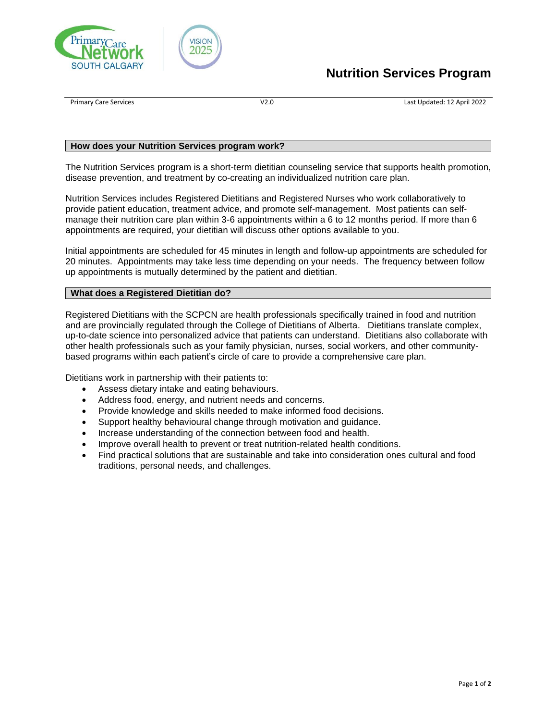



# **Nutrition Services Program**

Primary Care Services V2.0 Last Updated: 12 April 2022

### **How does your Nutrition Services program work?**

The Nutrition Services program is a short-term dietitian counseling service that supports health promotion, disease prevention, and treatment by co-creating an individualized nutrition care plan.

Nutrition Services includes Registered Dietitians and Registered Nurses who work collaboratively to provide patient education, treatment advice, and promote self-management. Most patients can selfmanage their nutrition care plan within 3-6 appointments within a 6 to 12 months period. If more than 6 appointments are required, your dietitian will discuss other options available to you.

Initial appointments are scheduled for 45 minutes in length and follow-up appointments are scheduled for 20 minutes. Appointments may take less time depending on your needs. The frequency between follow up appointments is mutually determined by the patient and dietitian.

### **What does a Registered Dietitian do?**

Registered Dietitians with the SCPCN are health professionals specifically trained in food and nutrition and are provincially regulated through the College of Dietitians of Alberta. Dietitians translate complex, up-to-date science into personalized advice that patients can understand. Dietitians also collaborate with other health professionals such as your family physician, nurses, social workers, and other communitybased programs within each patient's circle of care to provide a comprehensive care plan.

Dietitians work in partnership with their patients to:

- Assess dietary intake and eating behaviours.
- Address food, energy, and nutrient needs and concerns.
- Provide knowledge and skills needed to make informed food decisions.
- Support healthy behavioural change through motivation and guidance.
- Increase understanding of the connection between food and health.
- Improve overall health to prevent or treat nutrition-related health conditions.
- Find practical solutions that are sustainable and take into consideration ones cultural and food traditions, personal needs, and challenges.